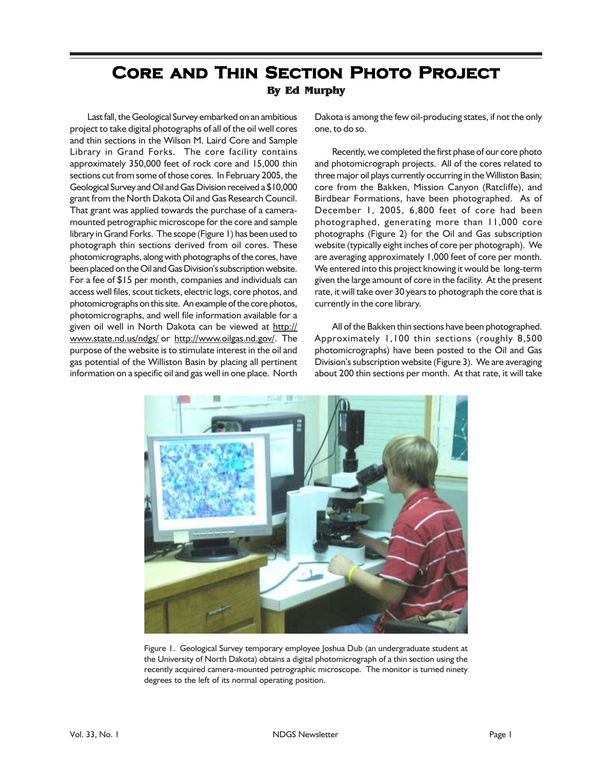## **CORE AND THIN SECTION PHOTO PROJECT By Ed Murphy**

Last fall, the Geological Survey embarked on an ambitious project to take digital photographs of all of the oil well cores and thin sections in the Wilson M. Laird Core and Sample Library in Grand Forks. The core facility contains approximately 350,000 feet of rock core and 15,000 thin sections cut from some of those cores. In February 2005, the Geological Survey and Oil and Gas Division received a \$10,000 grant from the North Dakota Oil and Gas Research Council. That grant was applied towards the purchase of a cameramounted petrographic microscope for the core and sample library in Grand Forks. The scope (Figure 1) has been used to photograph thin sections derived from oil cores. These photomicrographs, along with photographs of the cores, have been placed on the Oil and Gas Division's subscription website. For a fee of \$15 per month, companies and individuals can access well files, scout tickets, electric logs, core photos, and photomicrographs on this site. An example of the core photos, photomicrographs, and well file information available for a given oil well in North Dakota can be viewed at http:// www.state.nd.us/ndgs/ or http://www.oilgas.nd.gov/. The purpose of the website is to stimulate interest in the oil and gas potential of the Williston Basin by placing all pertinent information on a specific oil and gas well in one place. North

Dakota is among the few oil-producing states, if not the only one, to do so.

Recently, we completed the first phase of our core photo and photomicrograph projects. All of the cores related to three major oil plays currently occurring in the Williston Basin; core from the Bakken, Mission Canyon (Ratcliffe), and Birdbear Formations, have been photographed. As of December 1, 2005, 6,800 feet of core had been photographed, generating more than 11,000 core photographs (Figure 2) for the Oil and Gas subscription website (typically eight inches of core per photograph). We are averaging approximately 1,000 feet of core per month. We entered into this project knowing it would be long-term given the large amount of core in the facility. At the present rate, it will take over 30 years to photograph the core that is currently in the core library.

All of the Bakken thin sections have been photographed. Approximately 1,100 thin sections (roughly 8,500 photomicrographs) have been posted to the Oil and Gas Division's subscription website (Figure 3). We are averaging about 200 thin sections per month. At that rate, it will take



Figure 1. Geological Survey temporary employee Joshua Dub (an undergraduate student at the University of North Dakota) obtains a digital photomicrograph of a thin section using the recently acquired camera-mounted petrographic microscope. The monitor is turned ninety degrees to the left of its normal operating position.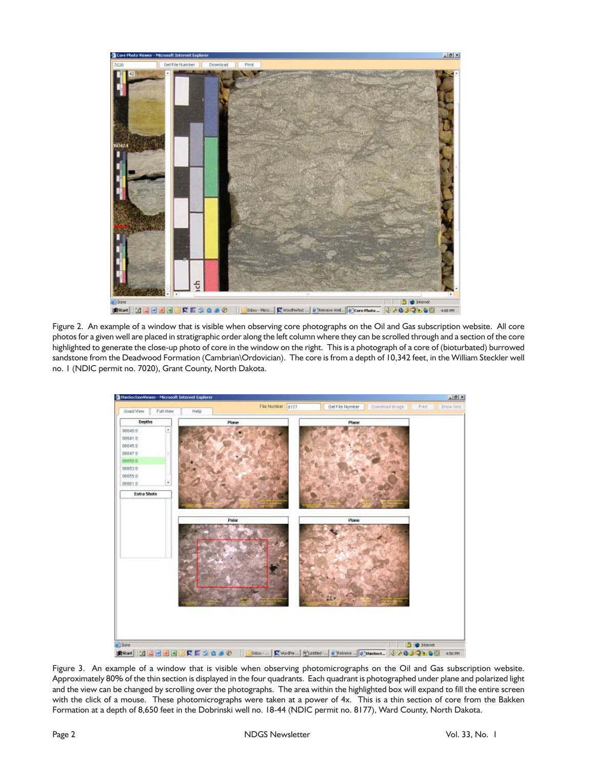

Figure 2. An example of a window that is visible when observing core photographs on the Oil and Gas subscription website. All core photos for a given well are placed in stratigraphic order along the left column where they can be scrolled through and a section of the core highlighted to generate the close-up photo of core in the window on the right. This is a photograph of a core of (bioturbated) burrowed sandstone from the Deadwood Formation (Cambrian\Ordovician). The core is from a depth of 10,342 feet, in the William Steckler well no. 1 (NDIC permit no. 7020), Grant County, North Dakota.



Figure 3. An example of a window that is visible when observing photomicrographs on the Oil and Gas subscription website. Approximately 80% of the thin section is displayed in the four quadrants. Each quadrant is photographed under plane and polarized light and the view can be changed by scrolling over the photographs. The area within the highlighted box will expand to fill the entire screen with the click of a mouse. These photomicrographs were taken at a power of 4x. This is a thin section of core from the Bakken Formation at a depth of 8,650 feet in the Dobrinski well no. 18-44 (NDIC permit no. 8177), Ward County, North Dakota.